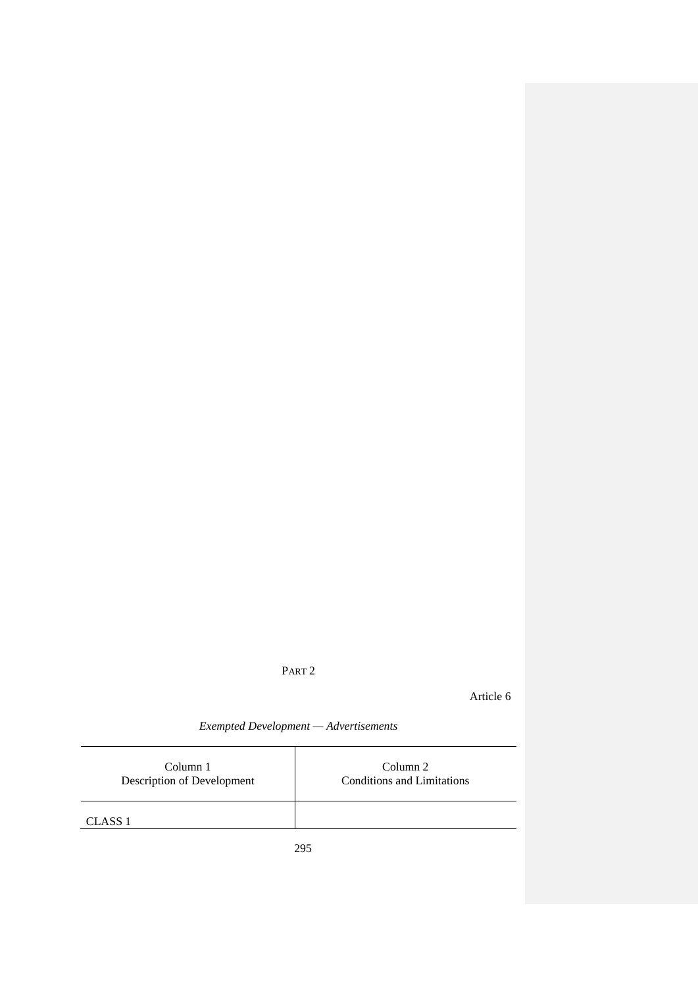## PART 2

Article 6

295 *Exempted Development — Advertisements* Column 1 Description of Development Column 2 Conditions and Limitations CLASS 1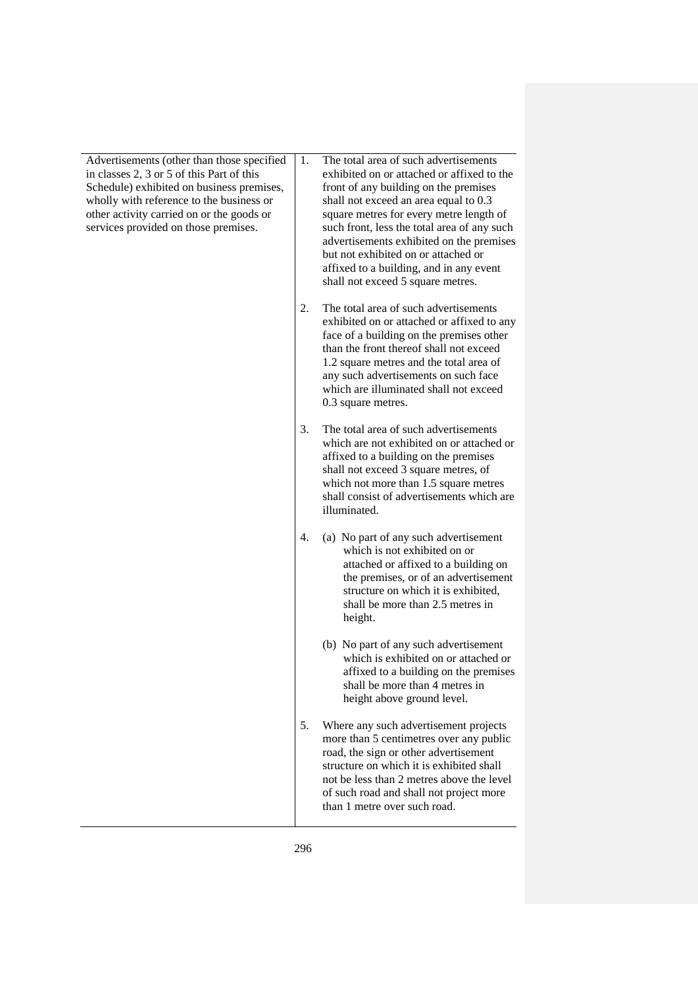Advertisements (other than those specified in classes 2, 3 or 5 of this Part of this Schedule) exhibited on business premises, wholly with reference to the business or other activity carried on or the goods or services provided on those premises.

1. The total area of such advertisements exhibited on or attached or affixed to the front of any building on the premises shall not exceed an area equal to 0.3 square metres for every metre length of such front, less the total area of any such advertisements exhibited on the premises but not exhibited on or attached or affixed to a building, and in any event shall not exceed 5 square metres.

2. The total area of such advertisements exhibited on or attached or affixed to any face of a building on the premises other than the front thereof shall not exceed 1.2 square metres and the total area of any such advertisements on such face which are illuminated shall not exceed 0.3 square metres.

3. The total area of such advertisements which are not exhibited on or attached or affixed to a building on the premises shall not exceed 3 square metres, of which not more than 1.5 square metres shall consist of advertisements which are illuminated.

- 4. (a) No part of any such advertisement which is not exhibited on or attached or affixed to a building on the premises, or of an advertisement structure on which it is exhibited, shall be more than 2.5 metres in height.
	- (b) No part of any such advertisement which is exhibited on or attached or affixed to a building on the premises shall be more than 4 metres in height above ground level.
- 5. Where any such advertisement projects more than 5 centimetres over any public road, the sign or other advertisement structure on which it is exhibited shall not be less than 2 metres above the level of such road and shall not project more than 1 metre over such road.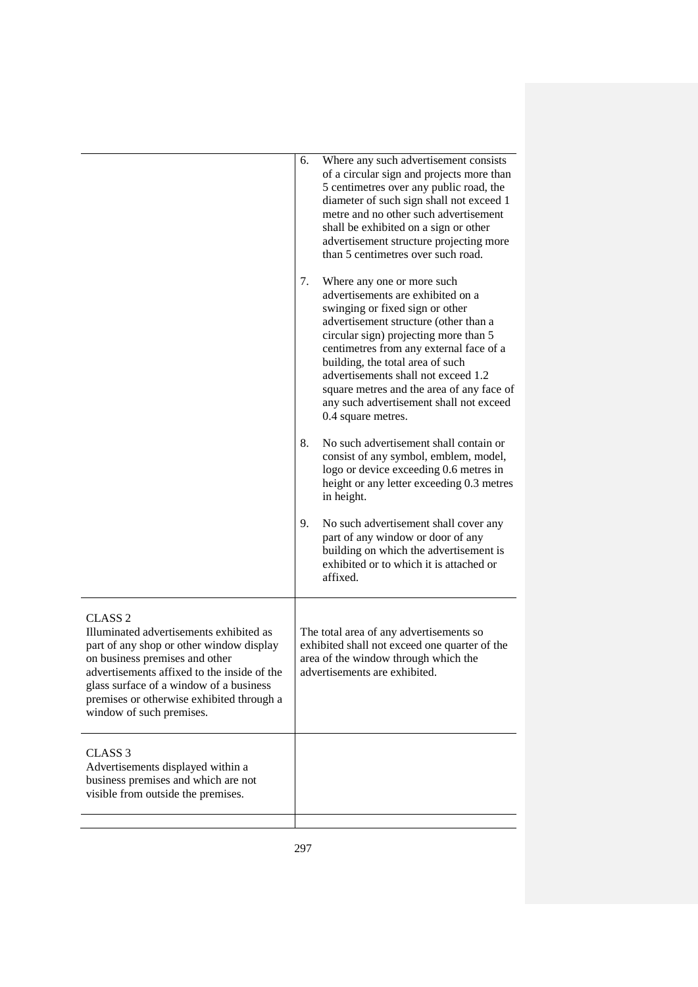|                                                                                                                                                                                                                                                                                                     | 6.<br>Where any such advertisement consists<br>of a circular sign and projects more than<br>5 centimetres over any public road, the<br>diameter of such sign shall not exceed 1<br>metre and no other such advertisement<br>shall be exhibited on a sign or other<br>advertisement structure projecting more<br>than 5 centimetres over such road.                                                                             |  |
|-----------------------------------------------------------------------------------------------------------------------------------------------------------------------------------------------------------------------------------------------------------------------------------------------------|--------------------------------------------------------------------------------------------------------------------------------------------------------------------------------------------------------------------------------------------------------------------------------------------------------------------------------------------------------------------------------------------------------------------------------|--|
|                                                                                                                                                                                                                                                                                                     | 7.<br>Where any one or more such<br>advertisements are exhibited on a<br>swinging or fixed sign or other<br>advertisement structure (other than a<br>circular sign) projecting more than 5<br>centimetres from any external face of a<br>building, the total area of such<br>advertisements shall not exceed 1.2<br>square metres and the area of any face of<br>any such advertisement shall not exceed<br>0.4 square metres. |  |
|                                                                                                                                                                                                                                                                                                     | 8.<br>No such advertisement shall contain or<br>consist of any symbol, emblem, model,<br>logo or device exceeding 0.6 metres in<br>height or any letter exceeding 0.3 metres<br>in height.                                                                                                                                                                                                                                     |  |
|                                                                                                                                                                                                                                                                                                     | 9.<br>No such advertisement shall cover any<br>part of any window or door of any<br>building on which the advertisement is<br>exhibited or to which it is attached or<br>affixed.                                                                                                                                                                                                                                              |  |
| CLASS 2<br>Illuminated advertisements exhibited as<br>part of any shop or other window display<br>on business premises and other<br>advertisements affixed to the inside of the<br>glass surface of a window of a business<br>premises or otherwise exhibited through a<br>window of such premises. | The total area of any advertisements so<br>exhibited shall not exceed one quarter of the<br>area of the window through which the<br>advertisements are exhibited.                                                                                                                                                                                                                                                              |  |
| CLASS <sub>3</sub><br>Advertisements displayed within a<br>business premises and which are not<br>visible from outside the premises.                                                                                                                                                                |                                                                                                                                                                                                                                                                                                                                                                                                                                |  |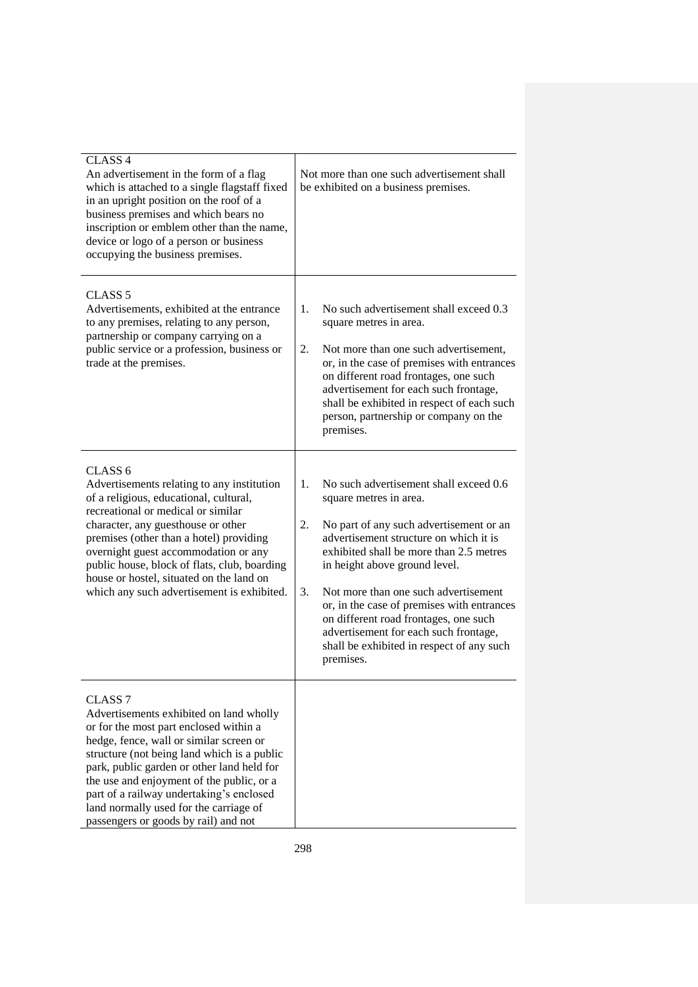| CLASS <sub>4</sub><br>An advertisement in the form of a flag<br>which is attached to a single flagstaff fixed<br>in an upright position on the roof of a<br>business premises and which bears no<br>inscription or emblem other than the name,<br>device or logo of a person or business<br>occupying the business premises.                                                                                               | Not more than one such advertisement shall<br>be exhibited on a business premises.                                                                                                                                                                                                                                                                                                                                                                                                    |
|----------------------------------------------------------------------------------------------------------------------------------------------------------------------------------------------------------------------------------------------------------------------------------------------------------------------------------------------------------------------------------------------------------------------------|---------------------------------------------------------------------------------------------------------------------------------------------------------------------------------------------------------------------------------------------------------------------------------------------------------------------------------------------------------------------------------------------------------------------------------------------------------------------------------------|
| CLASS <sub>5</sub><br>Advertisements, exhibited at the entrance<br>to any premises, relating to any person,<br>partnership or company carrying on a<br>public service or a profession, business or<br>trade at the premises.                                                                                                                                                                                               | 1.<br>No such advertisement shall exceed 0.3<br>square metres in area.<br>2.<br>Not more than one such advertisement,<br>or, in the case of premises with entrances<br>on different road frontages, one such<br>advertisement for each such frontage,<br>shall be exhibited in respect of each such<br>person, partnership or company on the<br>premises.                                                                                                                             |
| CLASS <sub>6</sub><br>Advertisements relating to any institution<br>of a religious, educational, cultural,<br>recreational or medical or similar<br>character, any guesthouse or other<br>premises (other than a hotel) providing<br>overnight guest accommodation or any<br>public house, block of flats, club, boarding<br>house or hostel, situated on the land on<br>which any such advertisement is exhibited.        | No such advertisement shall exceed 0.6<br>1.<br>square metres in area.<br>2.<br>No part of any such advertisement or an<br>advertisement structure on which it is<br>exhibited shall be more than 2.5 metres<br>in height above ground level.<br>Not more than one such advertisement<br>3.<br>or, in the case of premises with entrances<br>on different road frontages, one such<br>advertisement for each such frontage,<br>shall be exhibited in respect of any such<br>premises. |
| CLASS <sub>7</sub><br>Advertisements exhibited on land wholly<br>or for the most part enclosed within a<br>hedge, fence, wall or similar screen or<br>structure (not being land which is a public<br>park, public garden or other land held for<br>the use and enjoyment of the public, or a<br>part of a railway undertaking's enclosed<br>land normally used for the carriage of<br>passengers or goods by rail) and not |                                                                                                                                                                                                                                                                                                                                                                                                                                                                                       |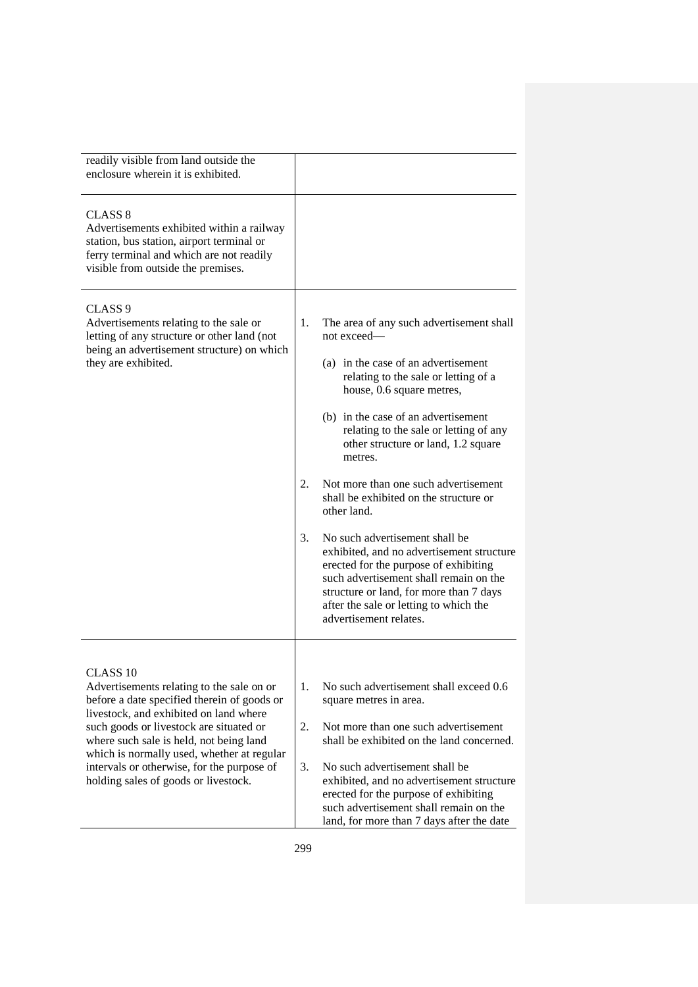| readily visible from land outside the<br>enclosure wherein it is exhibited.                                                                                                                                                                                                                                                                                                         |                                                                                                                                                                                                                                                                                                                                                                                                                                                                                                                                                                                                                                                                                                                          |
|-------------------------------------------------------------------------------------------------------------------------------------------------------------------------------------------------------------------------------------------------------------------------------------------------------------------------------------------------------------------------------------|--------------------------------------------------------------------------------------------------------------------------------------------------------------------------------------------------------------------------------------------------------------------------------------------------------------------------------------------------------------------------------------------------------------------------------------------------------------------------------------------------------------------------------------------------------------------------------------------------------------------------------------------------------------------------------------------------------------------------|
| <b>CLASS 8</b><br>Advertisements exhibited within a railway<br>station, bus station, airport terminal or<br>ferry terminal and which are not readily<br>visible from outside the premises.                                                                                                                                                                                          |                                                                                                                                                                                                                                                                                                                                                                                                                                                                                                                                                                                                                                                                                                                          |
| CLASS <sub>9</sub><br>Advertisements relating to the sale or<br>letting of any structure or other land (not<br>being an advertisement structure) on which<br>they are exhibited.                                                                                                                                                                                                    | 1.<br>The area of any such advertisement shall<br>not exceed-<br>(a) in the case of an advertisement<br>relating to the sale or letting of a<br>house, 0.6 square metres,<br>(b) in the case of an advertisement<br>relating to the sale or letting of any<br>other structure or land, 1.2 square<br>metres.<br>Not more than one such advertisement<br>2.<br>shall be exhibited on the structure or<br>other land.<br>$\mathfrak{Z}$ .<br>No such advertisement shall be<br>exhibited, and no advertisement structure<br>erected for the purpose of exhibiting<br>such advertisement shall remain on the<br>structure or land, for more than 7 days<br>after the sale or letting to which the<br>advertisement relates. |
| CLASS <sub>10</sub><br>Advertisements relating to the sale on or<br>before a date specified therein of goods or<br>livestock, and exhibited on land where<br>such goods or livestock are situated or<br>where such sale is held, not being land<br>which is normally used, whether at regular<br>intervals or otherwise, for the purpose of<br>holding sales of goods or livestock. | 1.<br>No such advertisement shall exceed 0.6<br>square metres in area.<br>2.<br>Not more than one such advertisement<br>shall be exhibited on the land concerned.<br>3.<br>No such advertisement shall be<br>exhibited, and no advertisement structure<br>erected for the purpose of exhibiting<br>such advertisement shall remain on the<br>land, for more than 7 days after the date                                                                                                                                                                                                                                                                                                                                   |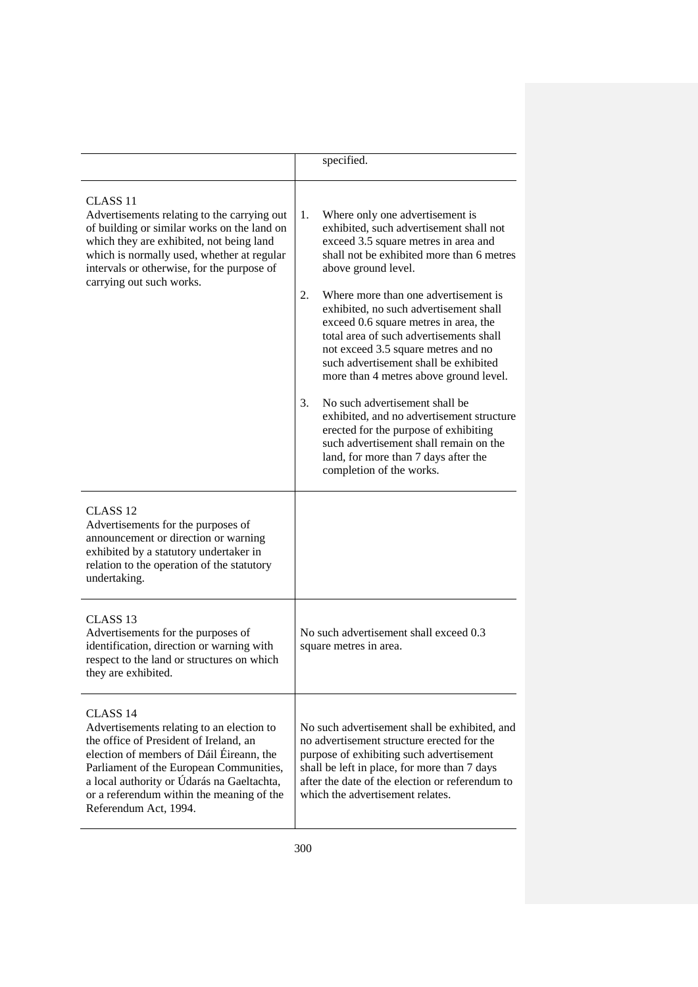|                                                                                                                                                                                                                                                                                                                       | specified.                                                                                                                                                                                                                                                                                                                                                                                                                                                                                                                                                                                                                                                                                                                                     |  |
|-----------------------------------------------------------------------------------------------------------------------------------------------------------------------------------------------------------------------------------------------------------------------------------------------------------------------|------------------------------------------------------------------------------------------------------------------------------------------------------------------------------------------------------------------------------------------------------------------------------------------------------------------------------------------------------------------------------------------------------------------------------------------------------------------------------------------------------------------------------------------------------------------------------------------------------------------------------------------------------------------------------------------------------------------------------------------------|--|
| CLASS <sub>11</sub><br>Advertisements relating to the carrying out<br>of building or similar works on the land on<br>which they are exhibited, not being land<br>which is normally used, whether at regular<br>intervals or otherwise, for the purpose of<br>carrying out such works.                                 | Where only one advertisement is<br>1.<br>exhibited, such advertisement shall not<br>exceed 3.5 square metres in area and<br>shall not be exhibited more than 6 metres<br>above ground level.<br>2.<br>Where more than one advertisement is<br>exhibited, no such advertisement shall<br>exceed 0.6 square metres in area, the<br>total area of such advertisements shall<br>not exceed 3.5 square metres and no<br>such advertisement shall be exhibited<br>more than 4 metres above ground level.<br>No such advertisement shall be<br>3.<br>exhibited, and no advertisement structure<br>erected for the purpose of exhibiting<br>such advertisement shall remain on the<br>land, for more than 7 days after the<br>completion of the works. |  |
| CLASS <sub>12</sub><br>Advertisements for the purposes of<br>announcement or direction or warning<br>exhibited by a statutory undertaker in<br>relation to the operation of the statutory<br>undertaking.                                                                                                             |                                                                                                                                                                                                                                                                                                                                                                                                                                                                                                                                                                                                                                                                                                                                                |  |
| CLASS <sub>13</sub><br>Advertisements for the purposes of<br>identification, direction or warning with<br>respect to the land or structures on which<br>they are exhibited.                                                                                                                                           | No such advertisement shall exceed 0.3<br>square metres in area.                                                                                                                                                                                                                                                                                                                                                                                                                                                                                                                                                                                                                                                                               |  |
| CLASS <sub>14</sub><br>Advertisements relating to an election to<br>the office of President of Ireland, an<br>election of members of Dáil Éireann, the<br>Parliament of the European Communities,<br>a local authority or Údarás na Gaeltachta,<br>or a referendum within the meaning of the<br>Referendum Act, 1994. | No such advertisement shall be exhibited, and<br>no advertisement structure erected for the<br>purpose of exhibiting such advertisement<br>shall be left in place, for more than 7 days<br>after the date of the election or referendum to<br>which the advertisement relates.                                                                                                                                                                                                                                                                                                                                                                                                                                                                 |  |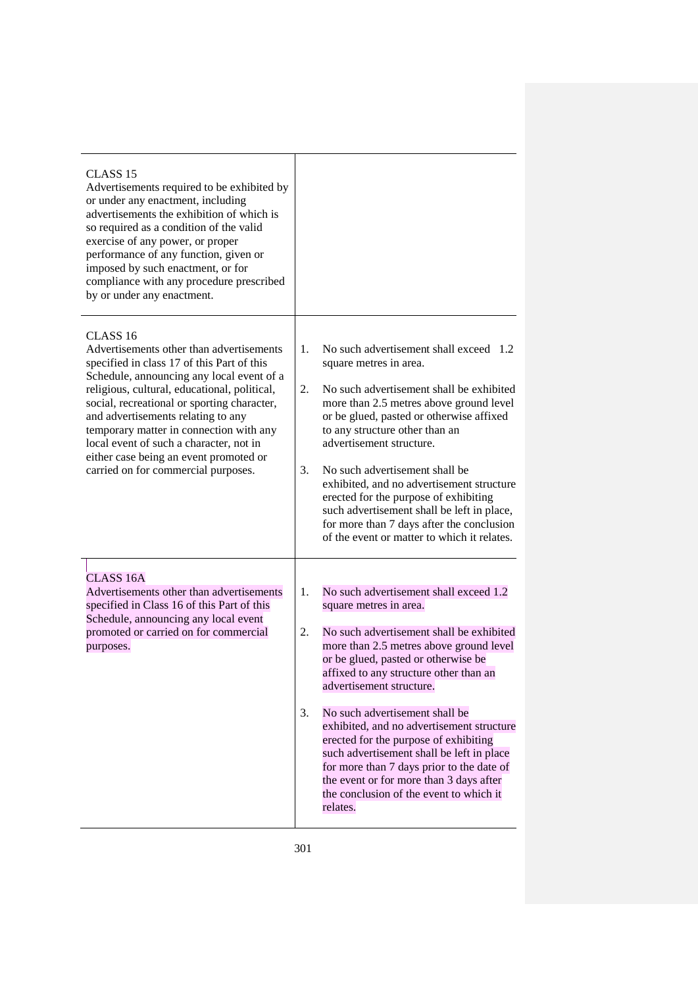| CLASS <sub>15</sub><br>Advertisements required to be exhibited by<br>or under any enactment, including<br>advertisements the exhibition of which is<br>so required as a condition of the valid<br>exercise of any power, or proper<br>performance of any function, given or<br>imposed by such enactment, or for<br>compliance with any procedure prescribed<br>by or under any enactment.                                                                             |                                                                                                                                                                                                                                                                                                                                                                                                                                                                                                                                                                                                            |
|------------------------------------------------------------------------------------------------------------------------------------------------------------------------------------------------------------------------------------------------------------------------------------------------------------------------------------------------------------------------------------------------------------------------------------------------------------------------|------------------------------------------------------------------------------------------------------------------------------------------------------------------------------------------------------------------------------------------------------------------------------------------------------------------------------------------------------------------------------------------------------------------------------------------------------------------------------------------------------------------------------------------------------------------------------------------------------------|
| CLASS <sub>16</sub><br>Advertisements other than advertisements<br>specified in class 17 of this Part of this<br>Schedule, announcing any local event of a<br>religious, cultural, educational, political,<br>social, recreational or sporting character,<br>and advertisements relating to any<br>temporary matter in connection with any<br>local event of such a character, not in<br>either case being an event promoted or<br>carried on for commercial purposes. | No such advertisement shall exceed 1.2<br>1.<br>square metres in area.<br>No such advertisement shall be exhibited<br>2.<br>more than 2.5 metres above ground level<br>or be glued, pasted or otherwise affixed<br>to any structure other than an<br>advertisement structure.<br>No such advertisement shall be<br>3.<br>exhibited, and no advertisement structure<br>erected for the purpose of exhibiting<br>such advertisement shall be left in place,<br>for more than 7 days after the conclusion<br>of the event or matter to which it relates.                                                      |
| <b>CLASS 16A</b><br>Advertisements other than advertisements<br>specified in Class 16 of this Part of this<br>Schedule, announcing any local event<br>promoted or carried on for commercial<br>purposes.                                                                                                                                                                                                                                                               | No such advertisement shall exceed 1.2<br>1.<br>square metres in area.<br>No such advertisement shall be exhibited<br>2.<br>more than 2.5 metres above ground level<br>or be glued, pasted or otherwise be<br>affixed to any structure other than an<br>advertisement structure.<br>3.<br>No such advertisement shall be<br>exhibited, and no advertisement structure<br>erected for the purpose of exhibiting<br>such advertisement shall be left in place<br>for more than 7 days prior to the date of<br>the event or for more than 3 days after<br>the conclusion of the event to which it<br>relates. |